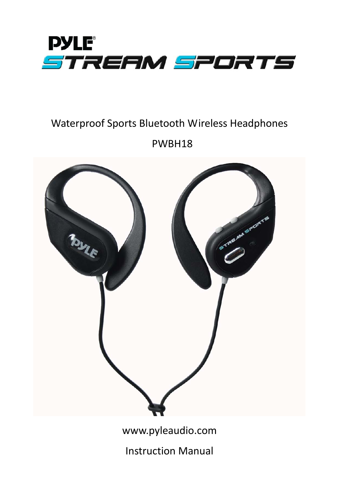

# Waterproof Sports Bluetooth Wireless Headphones

PWBH18



www.pyleaudio.com

Instruction Manual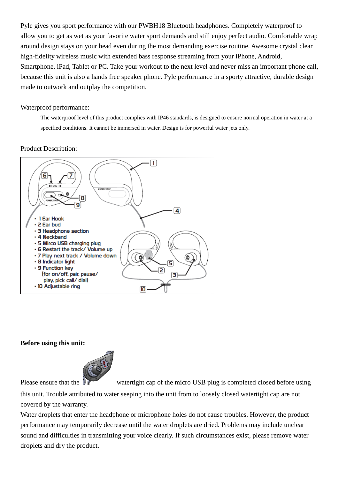Pyle gives you sport performance with our PWBH18 Bluetooth headphones. Completely waterproof to allow you to get as wet as your favorite water sport demands and still enjoy perfect audio. Comfortable wrap around design stays on your head even during the most demanding exercise routine. Awesome crystal clear high-fidelity wireless music with extended bass response streaming from your iPhone, Android, Smartphone, iPad, Tablet or PC. Take your workout to the next level and never miss an important phone call, because this unit is also a hands free speaker phone. Pyle performance in a sporty attractive, durable design made to outwork and outplay the competition.

#### Waterproof performance:

The waterproof level of this product complies with IP46 standards, is designed to ensure normal operation in water at a specified conditions. It cannot be immersed in water. Design is for powerful water jets only.

#### Product Description:



#### **Before using this unit:**



Please ensure that the watertight cap of the micro USB plug is completed closed before using

this unit. Trouble attributed to water seeping into the unit from to loosely closed watertight cap are not covered by the warranty.

Water droplets that enter the headphone or microphone holes do not cause troubles. However, the product performance may temporarily decrease until the water droplets are dried. Problems may include unclear sound and difficulties in transmitting your voice clearly. If such circumstances exist, please remove water droplets and dry the product.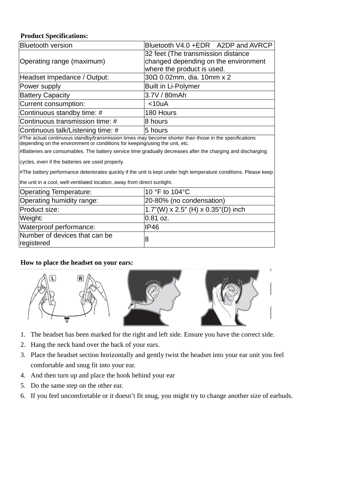# **Product Specifications:**

| <b>Bluetooth version</b>                                                                                                                                                             | Bluetooth V4.0 +EDR A2DP and AVRCP                                                                       |
|--------------------------------------------------------------------------------------------------------------------------------------------------------------------------------------|----------------------------------------------------------------------------------------------------------|
| Operating range (maximum)                                                                                                                                                            | 32 feet (The transmission distance<br>changed depending on the environment<br>where the product is used. |
| Headset Impedance / Output:                                                                                                                                                          | $30\Omega$ 0.02mm, dia. 10mm x 2                                                                         |
| Power supply                                                                                                                                                                         | <b>Built in Li-Polymer</b>                                                                               |
| <b>Battery Capacity</b>                                                                                                                                                              | 3.7V / 80mAh                                                                                             |
| Current consumption:                                                                                                                                                                 | $<$ 10uA                                                                                                 |
| Continuous standby time: #                                                                                                                                                           | 180 Hours                                                                                                |
| Continuous transmission time: #                                                                                                                                                      | 8 hours                                                                                                  |
| Continuous talk/Listening time: #                                                                                                                                                    | 5 hours                                                                                                  |
| #The actual continuous standby/transmission times may become shorter than those in the specifications<br>depending on the environment or conditions for keeping/using the unit, etc. |                                                                                                          |
| #Batteries are consumables. The battery service time gradually decreases after the charging and discharging                                                                          |                                                                                                          |
| cycles, even if the batteries are used properly.                                                                                                                                     |                                                                                                          |
| #The battery performance deteriorates quickly if the unit is kept under high temperature conditions. Please keep                                                                     |                                                                                                          |
| the unit in a cool, well-ventilated location, away from direct sunlight.                                                                                                             |                                                                                                          |
| <b>Operating Temperature:</b>                                                                                                                                                        | 10 °F to 104 °C                                                                                          |
| Operating humidity range:                                                                                                                                                            | 20-80% (no condensation)                                                                                 |
| Product size:                                                                                                                                                                        | 1.7"(W) x 2.5" (H) x 0.35"(D) inch                                                                       |
| Weight:                                                                                                                                                                              | 0.81 oz.                                                                                                 |
| Waterproof performance:                                                                                                                                                              | <b>IP46</b>                                                                                              |
| Number of devices that can be<br>registered                                                                                                                                          | 8                                                                                                        |

## **How to place the headset on your ears:**



- 1. The headset has been marked for the right and left side. Ensure you have the correct side.
- 2. Hang the neck band over the back of your ears.
- 3. Place the headset section horizontally and gently twist the headset into your ear unit you feel comfortable and snug fit into your ear.
- 4. And then turn up and place the hook behind your ear
- 5. Do the same step on the other ear.
- 6. If you feel uncomfortable or it doesn't fit snug, you might try to change another size of earbuds.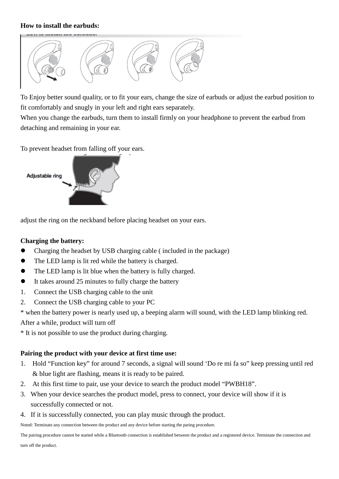## **How to install the earbuds:**



To Enjoy better sound quality, or to fit your ears, change the size of earbuds or adjust the earbud position to fit comfortably and snugly in your left and right ears separately.

When you change the earbuds, turn them to install firmly on your headphone to prevent the earbud from detaching and remaining in your ear.

To prevent headset from falling off your ears.



adjust the ring on the neckband before placing headset on your ears.

## **Charging the battery:**

- Charging the headset by USB charging cable ( included in the package)
- The LED lamp is lit red while the battery is charged.
- The LED lamp is lit blue when the battery is fully charged.
- It takes around 25 minutes to fully charge the battery
- 1. Connect the USB charging cable to the unit
- 2. Connect the USB charging cable to your PC

\* when the battery power is nearly used up, a beeping alarm will sound, with the LED lamp blinking red. After a while, product will turn off

\* It is not possible to use the product during charging.

## **Pairing the product with your device at first time use:**

- 1. Hold "Function key" for around 7 seconds, a signal will sound 'Do re mi fa so" keep pressing until red & blue light are flashing, means it is ready to be paired.
- 2. At this first time to pair, use your device to search the product model "PWBH18".
- 3. When your device searches the product model, press to connect, your device will show if it is successfully connected or not.
- 4. If it is successfully connected, you can play music through the product.

Noted: Terminate any connection between the product and any device before starting the paring procedure.

The pairing procedure cannot be started while a Bluetooth connection is established between the product and a registered device. Terminate the connection and turn off the product.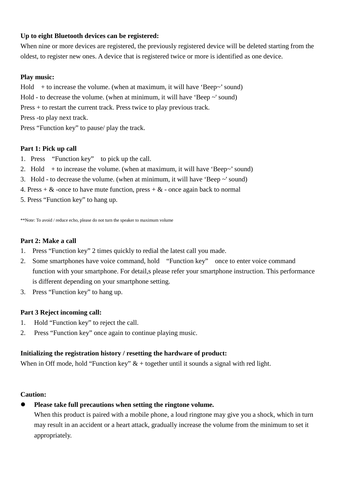## **Up to eight Bluetooth devices can be registered:**

When nine or more devices are registered, the previously registered device will be deleted starting from the oldest, to register new ones. A device that is registered twice or more is identified as one device.

#### **Play music:**

Hold  $+$  to increase the volume. (when at maximum, it will have 'Beep~' sound)

Hold - to decrease the volume. (when at minimum, it will have 'Beep ~' sound)

Press + to restart the current track. Press twice to play previous track.

Press -to play next track.

Press "Function key" to pause/ play the track.

#### **Part 1: Pick up call**

- 1. Press "Function key" to pick up the call.
- 2. Hold  $+$  to increase the volume. (when at maximum, it will have 'Beep~' sound)
- 3. Hold to decrease the volume. (when at minimum, it will have 'Beep ~' sound)
- 4. Press  $+ \&$  -once to have mute function, press  $+ \&$  -once again back to normal

5. Press "Function key" to hang up.

\*\*Note: To avoid / reduce echo, please do not turn the speaker to maximum volume

# **Part 2: Make a call**

- 1. Press "Function key" 2 times quickly to redial the latest call you made.
- 2. Some smartphones have voice command, hold "Function key" once to enter voice command function with your smartphone. For detail, splease refer your smartphone instruction. This performance is different depending on your smartphone setting.
- 3. Press "Function key" to hang up.

## **Part 3 Reject incoming call:**

- 1. Hold "Function key" to reject the call.
- 2. Press "Function key" once again to continue playing music.

#### **Initializing the registration history / resetting the hardware of product:**

When in Off mode, hold "Function key"  $\&$  + together until it sounds a signal with red light.

#### **Caution:**

**Please take full precautions when setting the ringtone volume.**

When this product is paired with a mobile phone, a loud ringtone may give you a shock, which in turn may result in an accident or a heart attack, gradually increase the volume from the minimum to set it appropriately.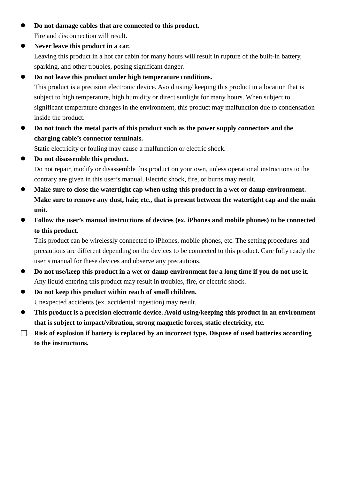- **Do not damage cables that are connected to this product.** Fire and disconnection will result.
- **Never leave this product in a car.**

Leaving this product in a hot car cabin for many hours will result in rupture of the built-in battery, sparking, and other troubles, posing significant danger.

# **Do not leave this product under high temperature conditions.**

This product is a precision electronic device. Avoid using/ keeping this product in a location that is subject to high temperature, high humidity or direct sunlight for many hours. When subject to significant temperature changes in the environment, this product may malfunction due to condensation inside the product.

 **Do not touch the metal parts of this product such as the power supply connectors and the charging cable's connector terminals.**

Static electricity or fouling may cause a malfunction or electric shock.

- **Do not disassemble this product.** Do not repair, modify or disassemble this product on your own, unless operational instructions to the contrary are given in this user's manual, Electric shock, fire, or burns may result.
- **Make sure to close the watertight cap when using this product in a wet or damp environment. Make sure to remove any dust, hair, etc., that is present between the watertight cap and the main unit.**
- **Follow the user's manual instructions of devices (ex. iPhones and mobile phones) to be connected to this product.**

This product can be wirelessly connected to iPhones, mobile phones, etc. The setting procedures and precautions are different depending on the devices to be connected to this product. Care fully ready the user's manual for these devices and observe any precautions.

- **Do not use/keep this product in a wet or damp environment for a long time if you do not use it.** Any liquid entering this product may result in troubles, fire, or electric shock.
- **Do not keep this product within reach of small children.** Unexpected accidents (ex. accidental ingestion) may result.
- **This product is a precision electronic device. Avoid using/keeping this product in an environment that is subject to impact/vibration, strong magnetic forces, static electricity, etc.**
- **Risk of explosion if battery is replaced by an incorrect type. Dispose of used batteries according to the instructions.**